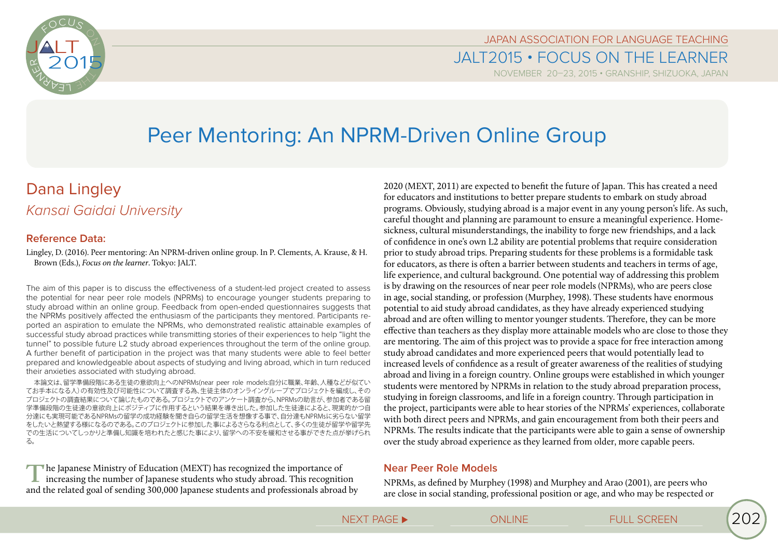

JAPAN ASSOCIATION FOR LANGUAGE TEACHING JALT2015 • FOCUS ON THE LEARNER

NOVEMBER 20-23, 2015 • GRANSHIP, SHIZUOKA, JAPAN

# Peer Mentoring: An NPRM-Driven Online Group

## Dana Lingley *Kansai Gaidai University*

## **Reference Data:**

Lingley, D. (2016). Peer mentoring: An NPRM-driven online group. In P. Clements, A. Krause, & H. Brown (Eds.), *Focus on the learner*. Tokyo: JALT.

The aim of this paper is to discuss the effectiveness of a student-led project created to assess the potential for near peer role models (NPRMs) to encourage younger students preparing to study abroad within an online group. Feedback from open-ended questionnaires suggests that the NPRMs positively affected the enthusiasm of the participants they mentored. Participants reported an aspiration to emulate the NPRMs, who demonstrated realistic attainable examples of successful study abroad practices while transmitting stories of their experiences to help "light the tunnel" to possible future L2 study abroad experiences throughout the term of the online group. A further benefit of participation in the project was that many students were able to feel better prepared and knowledgeable about aspects of studying and living abroad, which in turn reduced their anxieties associated with studying abroad.

本論文は、留学準備段階にある生徒の意欲向上へのNPRMs(near peer role models:自分に職業、年齢、人種などが似てい てお手本になる人)の有効性及び可能性について調査する為、生徒主体のオンライングループでプロジェクトを編成し、その プロジェクトの調査結果について論じたものである。プロジェクトでのアンケート調査から、NPRMsの助言が、参加者である留 学準備段階の生徒達の意欲向上にポジティブに作用するという結果を導き出した。参加した生徒達によると、現実的かつ自 分達にも実現可能であるNPRMsの留学の成功経験を聞き自らの留学生活を想像する事で、自分達もNPRMsに劣らない留学 をしたいと熱望する様になるのである。このプロジェクトに参加した事によるさらなる利点として、多くの生徒が留学や留学先 での生活についてしっかりと準備し知識を培われたと感じた事により、留学への不安を緩和させる事ができた点が挙げられ る。

**T**he Japanese Ministry of Education (MEXT) has recognized the importance of increasing the number of Japanese students who study abroad. This recognition and the related goal of sending 300,000 Japanese students and professionals abroad by

2020 (MEXT, 2011) are expected to benefit the future of Japan. This has created a need for educators and institutions to better prepare students to embark on study abroad programs. Obviously, studying abroad is a major event in any young person's life. As such, careful thought and planning are paramount to ensure a meaningful experience. Homesickness, cultural misunderstandings, the inability to forge new friendships, and a lack of confidence in one's own L2 ability are potential problems that require consideration prior to study abroad trips. Preparing students for these problems is a formidable task for educators, as there is often a barrier between students and teachers in terms of age, life experience, and cultural background. One potential way of addressing this problem is by drawing on the resources of near peer role models (NPRMs), who are peers close in age, social standing, or profession (Murphey, 1998). These students have enormous potential to aid study abroad candidates, as they have already experienced studying abroad and are often willing to mentor younger students. Therefore, they can be more effective than teachers as they display more attainable models who are close to those they are mentoring. The aim of this project was to provide a space for free interaction among study abroad candidates and more experienced peers that would potentially lead to increased levels of confidence as a result of greater awareness of the realities of studying abroad and living in a foreign country. Online groups were established in which younger students were mentored by NPRMs in relation to the study abroad preparation process, studying in foreign classrooms, and life in a foreign country. Through participation in the project, participants were able to hear stories of the NPRMs' experiences, collaborate with both direct peers and NPRMs, and gain encouragement from both their peers and NPRMs. The results indicate that the participants were able to gain a sense of ownership over the study abroad experience as they learned from older, more capable peers.

## **Near Peer Role Models**

NPRMs, as defined by Murphey (1998) and Murphey and Arao (2001), are peers who are close in social standing, professional position or age, and who may be respected or

NEXT PAGE ► △ ONLINE FULL SCREEN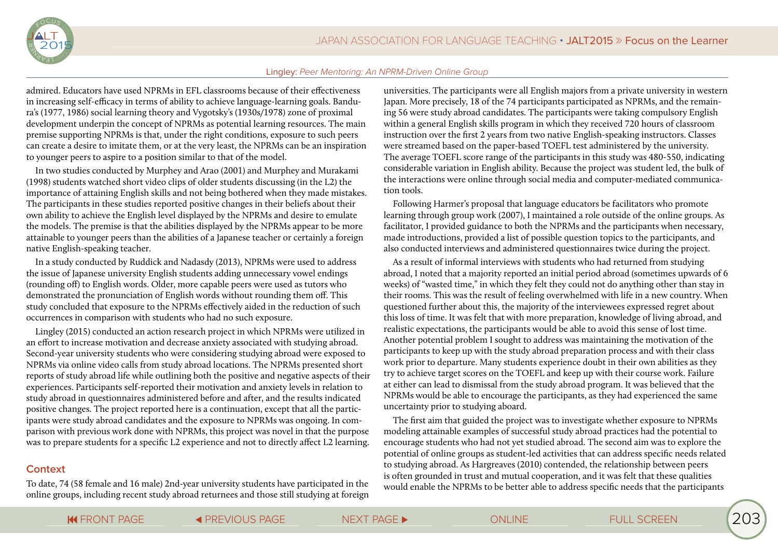

admired. Educators have used NPRMs in EFL classrooms because of their effectiveness in increasing self-efficacy in terms of ability to achieve language-learning goals. Bandura's (1977, 1986) social learning theory and Vygotsky's (1930s/1978) zone of proximal development underpin the concept of NPRMs as potential learning resources. The main premise supporting NPRMs is that, under the right conditions, exposure to such peers can create a desire to imitate them, or at the very least, the NPRMs can be an inspiration to younger peers to aspire to a position similar to that of the model.

In two studies conducted by Murphey and Arao (2001) and Murphey and Murakami (1998) students watched short video clips of older students discussing (in the L2) the importance of attaining English skills and not being bothered when they made mistakes. The participants in these studies reported positive changes in their beliefs about their own ability to achieve the English level displayed by the NPRMs and desire to emulate the models. The premise is that the abilities displayed by the NPRMs appear to be more attainable to younger peers than the abilities of a Japanese teacher or certainly a foreign native English-speaking teacher.

In a study conducted by Ruddick and Nadasdy (2013), NPRMs were used to address the issue of Japanese university English students adding unnecessary vowel endings (rounding off) to English words. Older, more capable peers were used as tutors who demonstrated the pronunciation of English words without rounding them off. This study concluded that exposure to the NPRMs effectively aided in the reduction of such occurrences in comparison with students who had no such exposure.

Lingley (2015) conducted an action research project in which NPRMs were utilized in an effort to increase motivation and decrease anxiety associated with studying abroad. Second-year university students who were considering studying abroad were exposed to NPRMs via online video calls from study abroad locations. The NPRMs presented short reports of study abroad life while outlining both the positive and negative aspects of their experiences. Participants self-reported their motivation and anxiety levels in relation to study abroad in questionnaires administered before and after, and the results indicated positive changes. The project reported here is a continuation, except that all the participants were study abroad candidates and the exposure to NPRMs was ongoing. In comparison with previous work done with NPRMs, this project was novel in that the purpose was to prepare students for a specific L2 experience and not to directly affect L2 learning.

## **Context**

To date, 74 (58 female and 16 male) 2nd-year university students have participated in the online groups, including recent study abroad returnees and those still studying at foreign universities. The participants were all English majors from a private university in western Japan. More precisely, 18 of the 74 participants participated as NPRMs, and the remaining 56 were study abroad candidates. The participants were taking compulsory English within a general English skills program in which they received 720 hours of classroom instruction over the first 2 years from two native English-speaking instructors. Classes were streamed based on the paper-based TOEFL test administered by the university. The average TOEFL score range of the participants in this study was 480-550, indicating considerable variation in English ability. Because the project was student led, the bulk of the interactions were online through social media and computer-mediated communication tools.

Following Harmer's proposal that language educators be facilitators who promote learning through group work (2007), I maintained a role outside of the online groups. As facilitator, I provided guidance to both the NPRMs and the participants when necessary, made introductions, provided a list of possible question topics to the participants, and also conducted interviews and administered questionnaires twice during the project.

As a result of informal interviews with students who had returned from studying abroad, I noted that a majority reported an initial period abroad (sometimes upwards of 6 weeks) of "wasted time," in which they felt they could not do anything other than stay in their rooms. This was the result of feeling overwhelmed with life in a new country. When questioned further about this, the majority of the interviewees expressed regret about this loss of time. It was felt that with more preparation, knowledge of living abroad, and realistic expectations, the participants would be able to avoid this sense of lost time. Another potential problem I sought to address was maintaining the motivation of the participants to keep up with the study abroad preparation process and with their class work prior to departure. Many students experience doubt in their own abilities as they try to achieve target scores on the TOEFL and keep up with their course work. Failure at either can lead to dismissal from the study abroad program. It was believed that the NPRMs would be able to encourage the participants, as they had experienced the same uncertainty prior to studying aboard.

The first aim that guided the project was to investigate whether exposure to NPRMs modeling attainable examples of successful study abroad practices had the potential to encourage students who had not yet studied abroad. The second aim was to explore the potential of online groups as student-led activities that can address specific needs related to studying abroad. As Hargreaves (2010) contended, the relationship between peers is often grounded in trust and mutual cooperation, and it was felt that these qualities would enable the NPRMs to be better able to address specific needs that the participants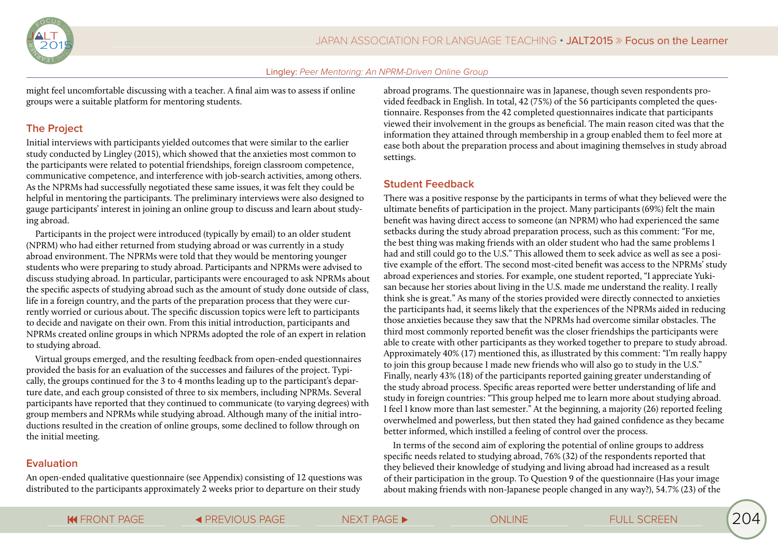

might feel uncomfortable discussing with a teacher. A final aim was to assess if online groups were a suitable platform for mentoring students.

## **The Project**

Initial interviews with participants yielded outcomes that were similar to the earlier study conducted by Lingley (2015), which showed that the anxieties most common to the participants were related to potential friendships, foreign classroom competence, communicative competence, and interference with job-search activities, among others. As the NPRMs had successfully negotiated these same issues, it was felt they could be helpful in mentoring the participants. The preliminary interviews were also designed to gauge participants' interest in joining an online group to discuss and learn about studying abroad.

Participants in the project were introduced (typically by email) to an older student (NPRM) who had either returned from studying abroad or was currently in a study abroad environment. The NPRMs were told that they would be mentoring younger students who were preparing to study abroad. Participants and NPRMs were advised to discuss studying abroad. In particular, participants were encouraged to ask NPRMs about the specific aspects of studying abroad such as the amount of study done outside of class, life in a foreign country, and the parts of the preparation process that they were currently worried or curious about. The specific discussion topics were left to participants to decide and navigate on their own. From this initial introduction, participants and NPRMs created online groups in which NPRMs adopted the role of an expert in relation to studying abroad.

Virtual groups emerged, and the resulting feedback from open-ended questionnaires provided the basis for an evaluation of the successes and failures of the project. Typically, the groups continued for the 3 to 4 months leading up to the participant's departure date, and each group consisted of three to six members, including NPRMs. Several participants have reported that they continued to communicate (to varying degrees) with group members and NPRMs while studying abroad. Although many of the initial introductions resulted in the creation of online groups, some declined to follow through on the initial meeting.

## **Evaluation**

An open-ended qualitative questionnaire (see Appendix) consisting of 12 questions was distributed to the participants approximately 2 weeks prior to departure on their study

abroad programs. The questionnaire was in Japanese, though seven respondents provided feedback in English. In total, 42 (75%) of the 56 participants completed the questionnaire. Responses from the 42 completed questionnaires indicate that participants viewed their involvement in the groups as beneficial. The main reason cited was that the information they attained through membership in a group enabled them to feel more at ease both about the preparation process and about imagining themselves in study abroad settings.

## **Student Feedback**

There was a positive response by the participants in terms of what they believed were the ultimate benefits of participation in the project. Many participants (69%) felt the main benefit was having direct access to someone (an NPRM) who had experienced the same setbacks during the study abroad preparation process, such as this comment: "For me, the best thing was making friends with an older student who had the same problems I had and still could go to the U.S." This allowed them to seek advice as well as see a positive example of the effort. The second most-cited benefit was access to the NPRMs' study abroad experiences and stories. For example, one student reported, "I appreciate Yukisan because her stories about living in the U.S. made me understand the reality. I really think she is great." As many of the stories provided were directly connected to anxieties the participants had, it seems likely that the experiences of the NPRMs aided in reducing those anxieties because they saw that the NPRMs had overcome similar obstacles. The third most commonly reported benefit was the closer friendships the participants were able to create with other participants as they worked together to prepare to study abroad. Approximately 40% (17) mentioned this, as illustrated by this comment: "I'm really happy to join this group because I made new friends who will also go to study in the U.S." Finally, nearly 43% (18) of the participants reported gaining greater understanding of the study abroad process. Specific areas reported were better understanding of life and study in foreign countries: "This group helped me to learn more about studying abroad. I feel I know more than last semester." At the beginning, a majority (26) reported feeling overwhelmed and powerless, but then stated they had gained confidence as they became better informed, which instilled a feeling of control over the process.

In terms of the second aim of exploring the potential of online groups to address specific needs related to studying abroad, 76% (32) of the respondents reported that they believed their knowledge of studying and living abroad had increased as a result of their participation in the group. To Question 9 of the questionnaire (Has your image about making friends with non-Japanese people changed in any way?), 54.7% (23) of the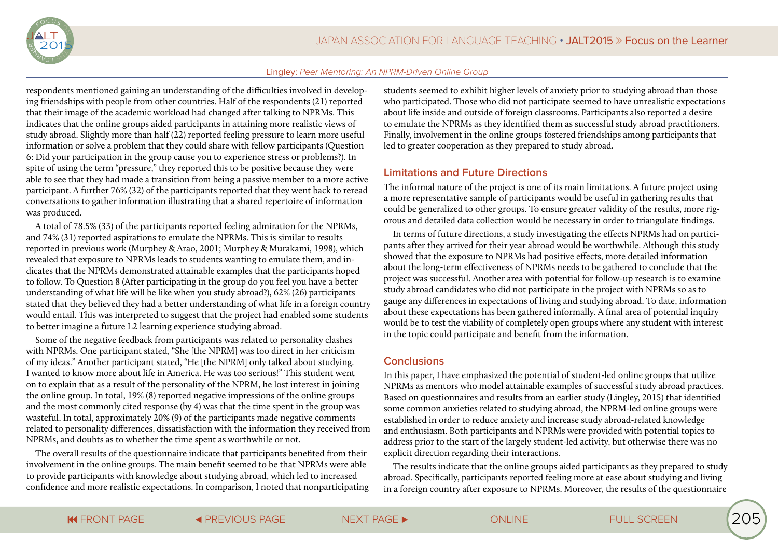

respondents mentioned gaining an understanding of the difficulties involved in developing friendships with people from other countries. Half of the respondents (21) reported that their image of the academic workload had changed after talking to NPRMs. This indicates that the online groups aided participants in attaining more realistic views of study abroad. Slightly more than half (22) reported feeling pressure to learn more useful information or solve a problem that they could share with fellow participants (Question 6: Did your participation in the group cause you to experience stress or problems?). In spite of using the term "pressure," they reported this to be positive because they were able to see that they had made a transition from being a passive member to a more active participant. A further 76% (32) of the participants reported that they went back to reread conversations to gather information illustrating that a shared repertoire of information was produced.

A total of 78.5% (33) of the participants reported feeling admiration for the NPRMs, and 74% (31) reported aspirations to emulate the NPRMs. This is similar to results reported in previous work (Murphey & Arao, 2001; Murphey & Murakami, 1998), which revealed that exposure to NPRMs leads to students wanting to emulate them, and indicates that the NPRMs demonstrated attainable examples that the participants hoped to follow. To Question 8 (After participating in the group do you feel you have a better understanding of what life will be like when you study abroad?), 62% (26) participants stated that they believed they had a better understanding of what life in a foreign country would entail. This was interpreted to suggest that the project had enabled some students to better imagine a future L2 learning experience studying abroad.

Some of the negative feedback from participants was related to personality clashes with NPRMs. One participant stated, "She [the NPRM] was too direct in her criticism of my ideas." Another participant stated, "He [the NPRM] only talked about studying. I wanted to know more about life in America. He was too serious!" This student went on to explain that as a result of the personality of the NPRM, he lost interest in joining the online group. In total, 19% (8) reported negative impressions of the online groups and the most commonly cited response (by 4) was that the time spent in the group was wasteful. In total, approximately 20% (9) of the participants made negative comments related to personality differences, dissatisfaction with the information they received from NPRMs, and doubts as to whether the time spent as worthwhile or not.

The overall results of the questionnaire indicate that participants benefited from their involvement in the online groups. The main benefit seemed to be that NPRMs were able to provide participants with knowledge about studying abroad, which led to increased confidence and more realistic expectations. In comparison, I noted that nonparticipating

students seemed to exhibit higher levels of anxiety prior to studying abroad than those who participated. Those who did not participate seemed to have unrealistic expectations about life inside and outside of foreign classrooms. Participants also reported a desire to emulate the NPRMs as they identified them as successful study abroad practitioners. Finally, involvement in the online groups fostered friendships among participants that led to greater cooperation as they prepared to study abroad.

### **Limitations and Future Directions**

The informal nature of the project is one of its main limitations. A future project using a more representative sample of participants would be useful in gathering results that could be generalized to other groups. To ensure greater validity of the results, more rigorous and detailed data collection would be necessary in order to triangulate findings.

In terms of future directions, a study investigating the effects NPRMs had on participants after they arrived for their year abroad would be worthwhile. Although this study showed that the exposure to NPRMs had positive effects, more detailed information about the long-term effectiveness of NPRMs needs to be gathered to conclude that the project was successful. Another area with potential for follow-up research is to examine study abroad candidates who did not participate in the project with NPRMs so as to gauge any differences in expectations of living and studying abroad. To date, information about these expectations has been gathered informally. A final area of potential inquiry would be to test the viability of completely open groups where any student with interest in the topic could participate and benefit from the information.

## **Conclusions**

In this paper, I have emphasized the potential of student-led online groups that utilize NPRMs as mentors who model attainable examples of successful study abroad practices. Based on questionnaires and results from an earlier study (Lingley, 2015) that identified some common anxieties related to studying abroad, the NPRM-led online groups were established in order to reduce anxiety and increase study abroad-related knowledge and enthusiasm. Both participants and NPRMs were provided with potential topics to address prior to the start of the largely student-led activity, but otherwise there was no explicit direction regarding their interactions.

The results indicate that the online groups aided participants as they prepared to study abroad. Specifically, participants reported feeling more at ease about studying and living in a foreign country after exposure to NPRMs. Moreover, the results of the questionnaire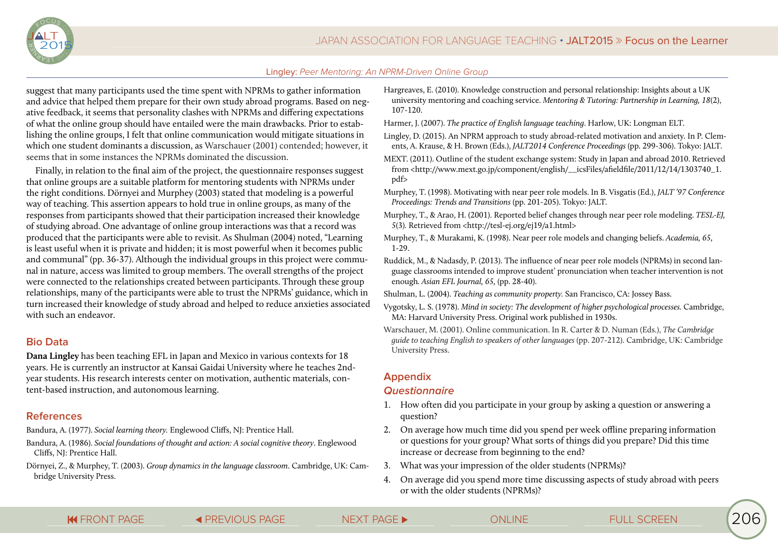

suggest that many participants used the time spent with NPRMs to gather information and advice that helped them prepare for their own study abroad programs. Based on negative feedback, it seems that personality clashes with NPRMs and differing expectations of what the online group should have entailed were the main drawbacks. Prior to establishing the online groups, I felt that online communication would mitigate situations in which one student dominants a discussion, as Warschauer (2001) contended; however, it seems that in some instances the NPRMs dominated the discussion.

Finally, in relation to the final aim of the project, the questionnaire responses suggest that online groups are a suitable platform for mentoring students with NPRMs under the right conditions. Dörnyei and Murphey (2003) stated that modeling is a powerful way of teaching. This assertion appears to hold true in online groups, as many of the responses from participants showed that their participation increased their knowledge of studying abroad. One advantage of online group interactions was that a record was produced that the participants were able to revisit. As Shulman (2004) noted, "Learning is least useful when it is private and hidden; it is most powerful when it becomes public and communal" (pp. 36-37). Although the individual groups in this project were communal in nature, access was limited to group members. The overall strengths of the project were connected to the relationships created between participants. Through these group relationships, many of the participants were able to trust the NPRMs' guidance, which in turn increased their knowledge of study abroad and helped to reduce anxieties associated with such an endeavor.

## **Bio Data**

**Dana Lingley** has been teaching EFL in Japan and Mexico in various contexts for 18 years. He is currently an instructor at Kansai Gaidai University where he teaches 2ndyear students. His research interests center on motivation, authentic materials, content-based instruction, and autonomous learning.

## **References**

Bandura, A. (1977). *Social learning theory.* Englewood Cliffs, NJ: Prentice Hall.

- Bandura, A. (1986). *Social foundations of thought and action: A social cognitive theory*. Englewood Cliffs, NJ: Prentice Hall.
- Dörnyei, Z., & Murphey, T. (2003). *Group dynamics in the language classroom*. Cambridge, UK: Cambridge University Press.
- Hargreaves, E. (2010). Knowledge construction and personal relationship: Insights about a UK university mentoring and coaching service. *Mentoring & Tutoring: Partnership in Learning, 18*(2), 107-120.
- Harmer, J. (2007). *The practice of English language teaching*. Harlow, UK: Longman ELT.
- Lingley, D. (2015). An NPRM approach to study abroad-related motivation and anxiety. In P. Clements, A. Krause, & H. Brown (Eds.), *JALT2014 Conference Proceedings* (pp. 299-306). Tokyo: JALT.
- MEXT. (2011). Outline of the student exchange system: Study in Japan and abroad 2010. Retrieved from <http://www.mext.go.jp/component/english/\_\_icsFiles/afieldfile/2011/12/14/1303740\_1. pdf>
- Murphey, T. (1998). Motivating with near peer role models. In B. Visgatis (Ed.), *JALT '97 Conference Proceedings: Trends and Transitions* (pp. 201-205). Tokyo: JALT.
- Murphey, T., & Arao, H. (2001). Reported belief changes through near peer role modeling. *TESL-EJ, 5*(3)*.* Retrieved from <http://tesl-ej.org/ej19/a1.html>
- Murphey, T., & Murakami, K. (1998). Near peer role models and changing beliefs. *Academia, 65,*  1-29.
- Ruddick, M., & Nadasdy, P. (2013). The influence of near peer role models (NPRMs) in second language classrooms intended to improve student' pronunciation when teacher intervention is not enough*. Asian EFL Journal, 65,* (pp. 28-40).

Shulman, L. (2004). *Teaching as community property.* San Francisco, CA: Jossey Bass.

- Vygotsky, L. S. (1978). *Mind in society: The development of higher psychological processes.* Cambridge, MA: Harvard University Press. Original work published in 1930s.
- Warschauer, M. (2001). Online communication. In R. Carter & D. Numan (Eds.), *The Cambridge guide to teaching English to speakers of other languages* (pp. 207-212). Cambridge, UK: Cambridge University Press.

## **Appendix**

## **Questionnaire**

- 1. How often did you participate in your group by asking a question or answering a question?
- 2. On average how much time did you spend per week offline preparing information or questions for your group? What sorts of things did you prepare? Did this time increase or decrease from beginning to the end?
- 3. What was your impression of the older students (NPRMs)?
- 4. On average did you spend more time discussing aspects of study abroad with peers or with the older students (NPRMs)?